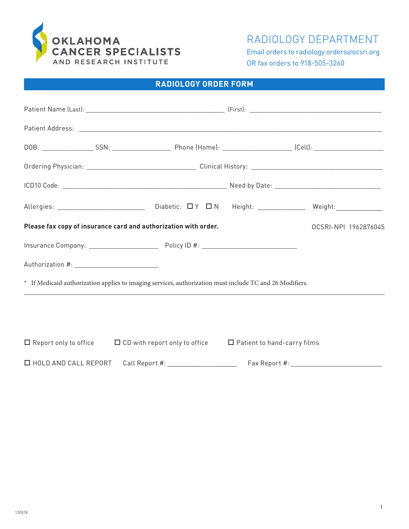

RADIOLOGY DEPARTMENT

Email orders to radiology.orders@ocsri.org OR fax orders to 918-505-3260

# **RADIOLOGY ORDER FORM**

|                                | Please fax copy of insurance card and authorization with order.                                          |                                    | OCSRI-NPI 1962876045 |
|--------------------------------|----------------------------------------------------------------------------------------------------------|------------------------------------|----------------------|
|                                |                                                                                                          |                                    |                      |
|                                |                                                                                                          |                                    |                      |
|                                | * If Medicaid authorization applies to imaging services, authorization must include TC and 26 Modifiers. |                                    |                      |
|                                | ,我们也不会有什么?""我们的人,我们也不会有什么?""我们的人,我们也不会有什么?""我们的人,我们也不会有什么?""我们的人,我们也不会有什么?""我们的人                         |                                    |                      |
|                                |                                                                                                          |                                    |                      |
|                                | $\Box$ Report only to office $\Box$ CD with report only to office                                        | $\Box$ Patient to hand-carry films |                      |
| $\square$ HOLD AND CALL REPORT | Call Report #: __________________________                                                                |                                    |                      |